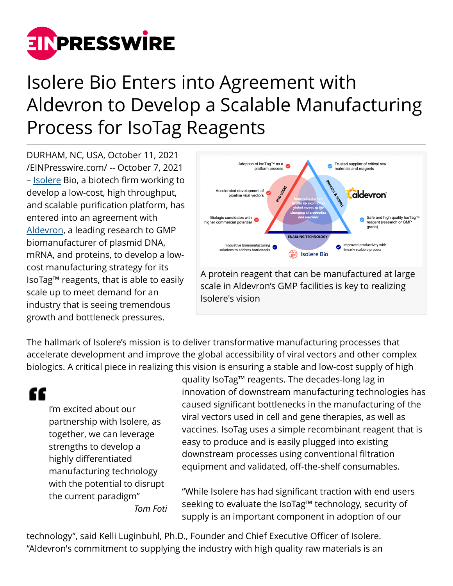

## Isolere Bio Enters into Agreement with Aldevron to Develop a Scalable Manufacturing Process for IsoTag Reagents

DURHAM, NC, USA, October 11, 2021 [/EINPresswire.com/](http://www.einpresswire.com) -- October 7, 2021 – [Isolere](http://www.isolerebio.com) Bio, a biotech firm working to develop a low-cost, high throughput, and scalable purification platform, has entered into an agreement with [Aldevron,](https://www.aldevron.com/) a leading research to GMP biomanufacturer of plasmid DNA, mRNA, and proteins, to develop a lowcost manufacturing strategy for its IsoTag™ reagents, that is able to easily scale up to meet demand for an industry that is seeing tremendous growth and bottleneck pressures.



A protein reagent that can be manufactured at large scale in Aldevron's GMP facilities is key to realizing Isolere's vision

The hallmark of Isolere's mission is to deliver transformative manufacturing processes that accelerate development and improve the global accessibility of viral vectors and other complex biologics. A critical piece in realizing this vision is ensuring a stable and low-cost supply of high

"

I'm excited about our partnership with Isolere, as together, we can leverage strengths to develop a highly differentiated manufacturing technology with the potential to disrupt the current paradigm" *Tom Foti*

quality IsoTag™ reagents. The decades-long lag in innovation of downstream manufacturing technologies has caused significant bottlenecks in the manufacturing of the viral vectors used in cell and gene therapies, as well as vaccines. IsoTag uses a simple recombinant reagent that is easy to produce and is easily plugged into existing downstream processes using conventional filtration equipment and validated, off-the-shelf consumables.

"While Isolere has had significant traction with end users seeking to evaluate the IsoTag™ technology, security of supply is an important component in adoption of our

technology", said Kelli Luginbuhl, Ph.D., Founder and Chief Executive Officer of Isolere. "Aldevron's commitment to supplying the industry with high quality raw materials is an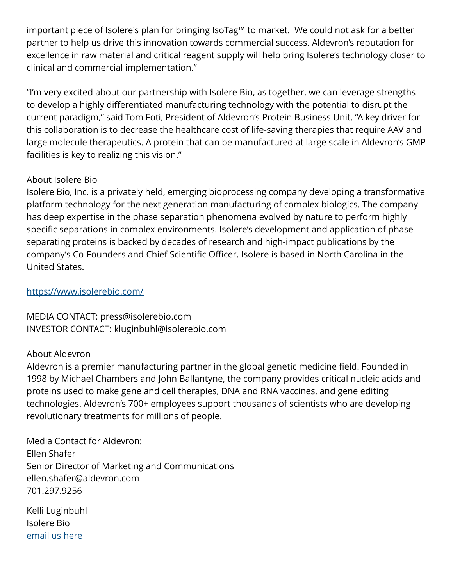important piece of Isolere's plan for bringing IsoTag™ to market. We could not ask for a better partner to help us drive this innovation towards commercial success. Aldevron's reputation for excellence in raw material and critical reagent supply will help bring Isolere's technology closer to clinical and commercial implementation."

"I'm very excited about our partnership with Isolere Bio, as together, we can leverage strengths to develop a highly differentiated manufacturing technology with the potential to disrupt the current paradigm," said Tom Foti, President of Aldevron's Protein Business Unit. "A key driver for this collaboration is to decrease the healthcare cost of life-saving therapies that require AAV and large molecule therapeutics. A protein that can be manufactured at large scale in Aldevron's GMP facilities is key to realizing this vision."

## About Isolere Bio

Isolere Bio, Inc. is a privately held, emerging bioprocessing company developing a transformative platform technology for the next generation manufacturing of complex biologics. The company has deep expertise in the phase separation phenomena evolved by nature to perform highly specific separations in complex environments. Isolere's development and application of phase separating proteins is backed by decades of research and high-impact publications by the company's Co-Founders and Chief Scientific Officer. Isolere is based in North Carolina in the United States.

## <https://www.isolerebio.com/>

MEDIA CONTACT: press@isolerebio.com INVESTOR CONTACT: kluginbuhl@isolerebio.com

## About Aldevron

Aldevron is a premier manufacturing partner in the global genetic medicine field. Founded in 1998 by Michael Chambers and John Ballantyne, the company provides critical nucleic acids and proteins used to make gene and cell therapies, DNA and RNA vaccines, and gene editing technologies. Aldevron's 700+ employees support thousands of scientists who are developing revolutionary treatments for millions of people.

Media Contact for Aldevron: Ellen Shafer Senior Director of Marketing and Communications ellen.shafer@aldevron.com 701.297.9256

Kelli Luginbuhl Isolere Bio [email us here](http://www.einpresswire.com/contact_author/3174636)